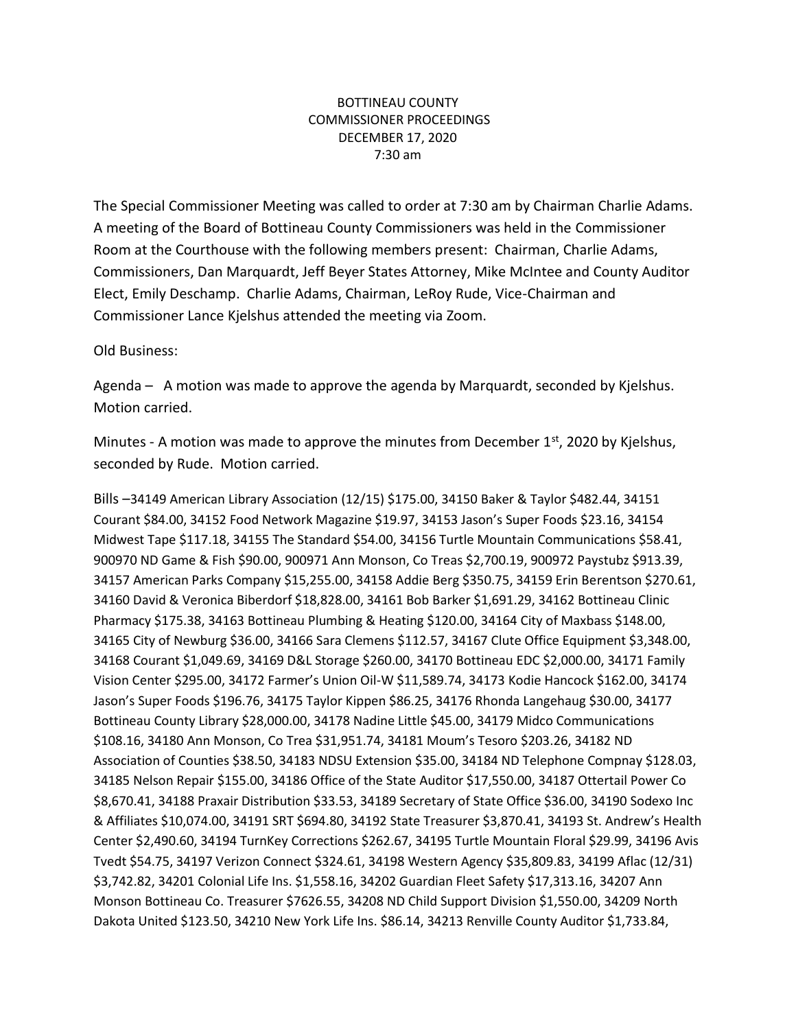## BOTTINEAU COUNTY COMMISSIONER PROCEEDINGS DECEMBER 17, 2020 7:30 am

The Special Commissioner Meeting was called to order at 7:30 am by Chairman Charlie Adams. A meeting of the Board of Bottineau County Commissioners was held in the Commissioner Room at the Courthouse with the following members present: Chairman, Charlie Adams, Commissioners, Dan Marquardt, Jeff Beyer States Attorney, Mike McIntee and County Auditor Elect, Emily Deschamp. Charlie Adams, Chairman, LeRoy Rude, Vice-Chairman and Commissioner Lance Kjelshus attended the meeting via Zoom.

Old Business:

Agenda – A motion was made to approve the agenda by Marquardt, seconded by Kjelshus. Motion carried.

Minutes - A motion was made to approve the minutes from December  $1<sup>st</sup>$ , 2020 by Kjelshus, seconded by Rude. Motion carried.

Bills –34149 American Library Association (12/15) \$175.00, 34150 Baker & Taylor \$482.44, 34151 Courant \$84.00, 34152 Food Network Magazine \$19.97, 34153 Jason's Super Foods \$23.16, 34154 Midwest Tape \$117.18, 34155 The Standard \$54.00, 34156 Turtle Mountain Communications \$58.41, 900970 ND Game & Fish \$90.00, 900971 Ann Monson, Co Treas \$2,700.19, 900972 Paystubz \$913.39, 34157 American Parks Company \$15,255.00, 34158 Addie Berg \$350.75, 34159 Erin Berentson \$270.61, 34160 David & Veronica Biberdorf \$18,828.00, 34161 Bob Barker \$1,691.29, 34162 Bottineau Clinic Pharmacy \$175.38, 34163 Bottineau Plumbing & Heating \$120.00, 34164 City of Maxbass \$148.00, 34165 City of Newburg \$36.00, 34166 Sara Clemens \$112.57, 34167 Clute Office Equipment \$3,348.00, 34168 Courant \$1,049.69, 34169 D&L Storage \$260.00, 34170 Bottineau EDC \$2,000.00, 34171 Family Vision Center \$295.00, 34172 Farmer's Union Oil-W \$11,589.74, 34173 Kodie Hancock \$162.00, 34174 Jason's Super Foods \$196.76, 34175 Taylor Kippen \$86.25, 34176 Rhonda Langehaug \$30.00, 34177 Bottineau County Library \$28,000.00, 34178 Nadine Little \$45.00, 34179 Midco Communications \$108.16, 34180 Ann Monson, Co Trea \$31,951.74, 34181 Moum's Tesoro \$203.26, 34182 ND Association of Counties \$38.50, 34183 NDSU Extension \$35.00, 34184 ND Telephone Compnay \$128.03, 34185 Nelson Repair \$155.00, 34186 Office of the State Auditor \$17,550.00, 34187 Ottertail Power Co \$8,670.41, 34188 Praxair Distribution \$33.53, 34189 Secretary of State Office \$36.00, 34190 Sodexo Inc & Affiliates \$10,074.00, 34191 SRT \$694.80, 34192 State Treasurer \$3,870.41, 34193 St. Andrew's Health Center \$2,490.60, 34194 TurnKey Corrections \$262.67, 34195 Turtle Mountain Floral \$29.99, 34196 Avis Tvedt \$54.75, 34197 Verizon Connect \$324.61, 34198 Western Agency \$35,809.83, 34199 Aflac (12/31) \$3,742.82, 34201 Colonial Life Ins. \$1,558.16, 34202 Guardian Fleet Safety \$17,313.16, 34207 Ann Monson Bottineau Co. Treasurer \$7626.55, 34208 ND Child Support Division \$1,550.00, 34209 North Dakota United \$123.50, 34210 New York Life Ins. \$86.14, 34213 Renville County Auditor \$1,733.84,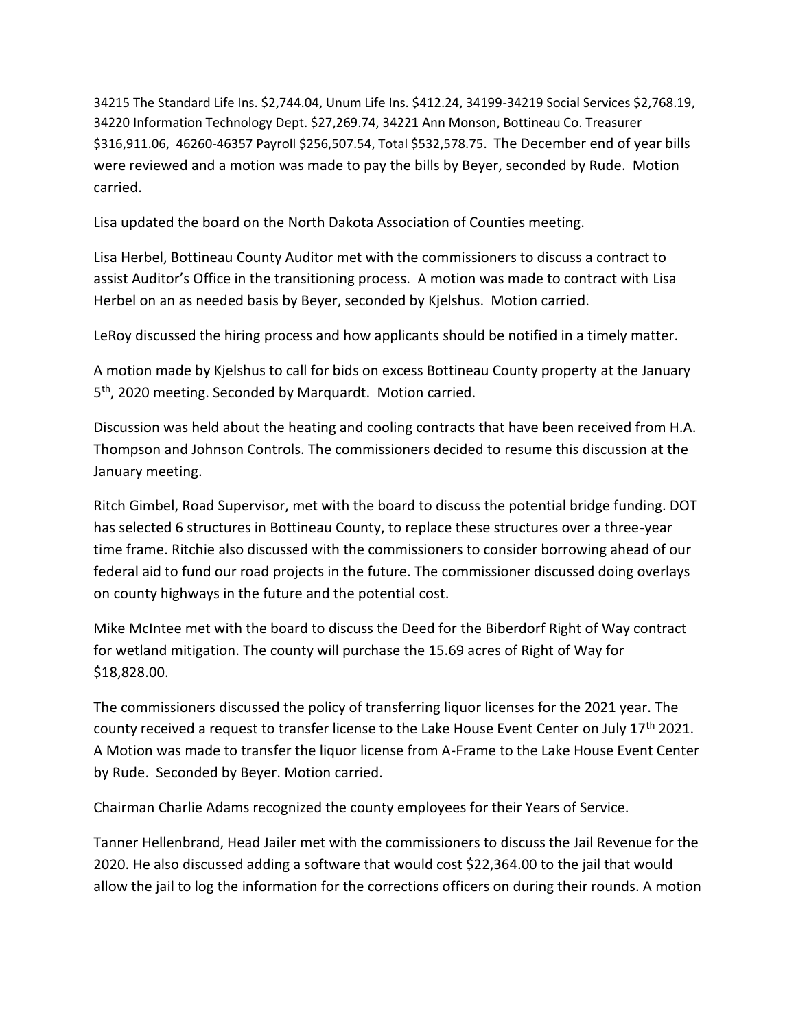34215 The Standard Life Ins. \$2,744.04, Unum Life Ins. \$412.24, 34199-34219 Social Services \$2,768.19, 34220 Information Technology Dept. \$27,269.74, 34221 Ann Monson, Bottineau Co. Treasurer \$316,911.06, 46260-46357 Payroll \$256,507.54, Total \$532,578.75. The December end of year bills were reviewed and a motion was made to pay the bills by Beyer, seconded by Rude. Motion carried.

Lisa updated the board on the North Dakota Association of Counties meeting.

Lisa Herbel, Bottineau County Auditor met with the commissioners to discuss a contract to assist Auditor's Office in the transitioning process. A motion was made to contract with Lisa Herbel on an as needed basis by Beyer, seconded by Kjelshus. Motion carried.

LeRoy discussed the hiring process and how applicants should be notified in a timely matter.

A motion made by Kjelshus to call for bids on excess Bottineau County property at the January 5<sup>th</sup>, 2020 meeting. Seconded by Marquardt. Motion carried.

Discussion was held about the heating and cooling contracts that have been received from H.A. Thompson and Johnson Controls. The commissioners decided to resume this discussion at the January meeting.

Ritch Gimbel, Road Supervisor, met with the board to discuss the potential bridge funding. DOT has selected 6 structures in Bottineau County, to replace these structures over a three-year time frame. Ritchie also discussed with the commissioners to consider borrowing ahead of our federal aid to fund our road projects in the future. The commissioner discussed doing overlays on county highways in the future and the potential cost.

Mike McIntee met with the board to discuss the Deed for the Biberdorf Right of Way contract for wetland mitigation. The county will purchase the 15.69 acres of Right of Way for \$18,828.00.

The commissioners discussed the policy of transferring liquor licenses for the 2021 year. The county received a request to transfer license to the Lake House Event Center on July 17<sup>th</sup> 2021. A Motion was made to transfer the liquor license from A-Frame to the Lake House Event Center by Rude. Seconded by Beyer. Motion carried.

Chairman Charlie Adams recognized the county employees for their Years of Service.

Tanner Hellenbrand, Head Jailer met with the commissioners to discuss the Jail Revenue for the 2020. He also discussed adding a software that would cost \$22,364.00 to the jail that would allow the jail to log the information for the corrections officers on during their rounds. A motion